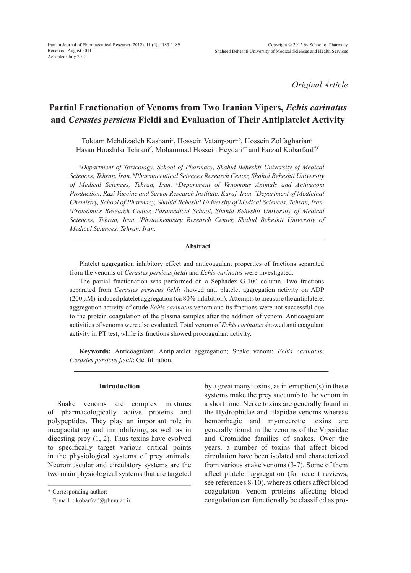*Original Article*

# **Partial Fractionation of Venoms from Two Iranian Vipers,** *Echis carinatus*  **and** *Cerastes persicus* **Fieldi and Evaluation of Their Antiplatelet Activity**

Toktam Mehdizadeh Kashani*<sup>a</sup>* , Hossein Vatanpour*a,b*, Hossein Zolfagharian*<sup>c</sup>* Hasan Hooshdar Tehrani*<sup>d</sup>* , Mohammad Hossein Heydari*e\** and Farzad Kobarfard*d,f*

*a Department of Toxicology, School of Pharmacy, Shahid Beheshti University of Medical Sciences, Tehran, Iran. b Pharmaceutical Sciences Research Center, Shahid Beheshti University of Medical Sciences, Tehran, Iran. c Department of Venomous Animals and Antivenom Production, Razi Vaccine and Serum Research Institute, Karaj, Iran. d Department of Medicinal Chemistry, School of Pharmacy, Shahid Beheshti University of Medical Sciences, Tehran, Iran. e Proteomics Research Center, Paramedical School, Shahid Beheshti University of Medical Sciences, Tehran, Iran. f Phytochemistry Research Center, Shahid Beheshti University of Medical Sciences, Tehran, Iran.* 

# **Abstract**

Platelet aggregation inhibitory effect and anticoagulant properties of fractions separated from the venoms of *Cerastes persicus fieldi* and *Echis carinatus* were investigated.

The partial fractionation was performed on a Sephadex G-100 column. Two fractions separated from *Cerastes persicus fieldi* showed anti platelet aggregation activity on ADP  $(200 \,\mu\text{M})$ -induced platelet aggregation  $(\text{ca } 80\%$  inhibition). Attempts to measure the antiplatelet aggregation activity of crude *Echis carinatus* venom and its fractions were not successful due to the protein coagulation of the plasma samples after the addition of venom. Anticoagulant activities of venoms were also evaluated. Total venom of *Echis carinatus* showed anti coagulant activity in PT test, while its fractions showed procoagulant activity.

**Keywords:** Anticoagulant; Antiplatelet aggregation; Snake venom; *Echis carinatus*; *Cerastes persicus fieldi*; Gel filtration.

# **Introduction**

Snake venoms are complex mixtures of pharmacologically active proteins and polypeptides. They play an important role in incapacitating and immobilizing, as well as in digesting prey (1, 2). Thus toxins have evolved to specifically target various critical points in the physiological systems of prey animals. Neuromuscular and circulatory systems are the two main physiological systems that are targeted by a great many toxins, as interruption(s) in these systems make the prey succumb to the venom in a short time. Nerve toxins are generally found in the Hydrophidae and Elapidae venoms whereas hemorrhagic and myonecrotic toxins are generally found in the venoms of the Viperidae and Crotalidae families of snakes. Over the years, a number of toxins that affect blood circulation have been isolated and characterized from various snake venoms (3-7). Some of them affect platelet aggregation (for recent reviews, see references 8-10), whereas others affect blood coagulation. Venom proteins affecting blood coagulation can functionally be classified as pro-

<sup>\*</sup> Corresponding author:

E-mail: : kobarfrad@sbmu.ac.ir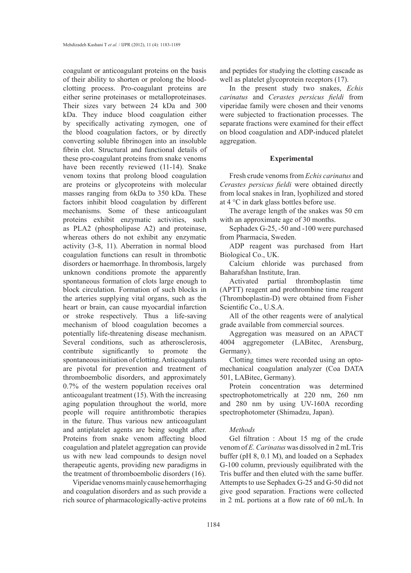coagulant or anticoagulant proteins on the basis of their ability to shorten or prolong the bloodclotting process. Pro-coagulant proteins are either serine proteinases or metalloproteinases. Their sizes vary between 24 kDa and 300 kDa. They induce blood coagulation either by specifically activating zymogen, one of the blood coagulation factors, or by directly converting soluble fibrinogen into an insoluble fibrin clot. Structural and functional details of these pro-coagulant proteins from snake venoms have been recently reviewed (11-14). Snake venom toxins that prolong blood coagulation are proteins or glycoproteins with molecular masses ranging from 6kDa to 350 kDa. These factors inhibit blood coagulation by different mechanisms. Some of these anticoagulant proteins exhibit enzymatic activities, such as PLA2 (phospholipase A2) and proteinase, whereas others do not exhibit any enzymatic activity (3-8, 11). Aberration in normal blood coagulation functions can result in thrombotic disorders or haemorrhage. In thrombosis, largely unknown conditions promote the apparently spontaneous formation of clots large enough to block circulation. Formation of such blocks in the arteries supplying vital organs, such as the heart or brain, can cause myocardial infarction or stroke respectively. Thus a life-saving mechanism of blood coagulation becomes a potentially life-threatening disease mechanism. Several conditions, such as atherosclerosis, contribute significantly to promote the spontaneous initiation of clotting. Anticoagulants are pivotal for prevention and treatment of thromboembolic disorders, and approximately 0.7% of the western population receives oral anticoagulant treatment (15). With the increasing aging population throughout the world, more people will require antithrombotic therapies in the future. Thus various new anticoagulant and antiplatelet agents are being sought after. Proteins from snake venom affecting blood coagulation and platelet aggregation can provide us with new lead compounds to design novel therapeutic agents, providing new paradigms in the treatment of thromboembolic disorders (16).

Viperidae venoms mainly cause hemorrhaging and coagulation disorders and as such provide a rich source of pharmacologically-active proteins and peptides for studying the clotting cascade as well as platelet glycoprotein receptors (17).

In the present study two snakes, *Echis carinatus* and *Cerastes persicus fieldi* from viperidae family were chosen and their venoms were subjected to fractionation processes. The separate fractions were examined for their effect on blood coagulation and ADP-induced platelet aggregation.

#### **Experimental**

Fresh crude venoms from *Echis carinatus* and *Cerastes persicus fieldi* were obtained directly from local snakes in Iran, lyophilized and stored at 4 °C in dark glass bottles before use.

The average length of the snakes was 50 cm with an approximate age of 30 months.

Sephadex G-25, -50 and -100 were purchased from Pharmacia, Sweden.

ADP reagent was purchased from Hart Biological Co., UK.

Calcium chloride was purchased from Baharafshan Institute, Iran.

Activated partial thromboplastin time (APTT) reagent and prothrombine time reagent (Thromboplastin-D) were obtained from Fisher Scientific Co., U.S.A.

All of the other reagents were of analytical grade available from commercial sources.

Aggregation was measured on an APACT 4004 aggregometer (LABitec, Arensburg, Germany).

Clotting times were recorded using an optomechanical coagulation analyzer (Coa DATA 501, LABitec, Germany).

Protein concentration was determined spectrophotometrically at 220 nm, 260 nm and 280 nm by using UV-160A recording spectrophotometer (Shimadzu, Japan).

# *Methods*

Gel filtration : About 15 mg of the crude venom of *E. Carinatus* was dissolved in 2 mL Tris buffer (pH 8, 0.1 M), and loaded on a Sephadex G-100 column, previously equilibrated with the Tris buffer and then eluted with the same buffer. Attempts to use Sephadex G-25 and G-50 did not give good separation. Fractions were collected in 2 mL portions at a flow rate of 60 mL/h. In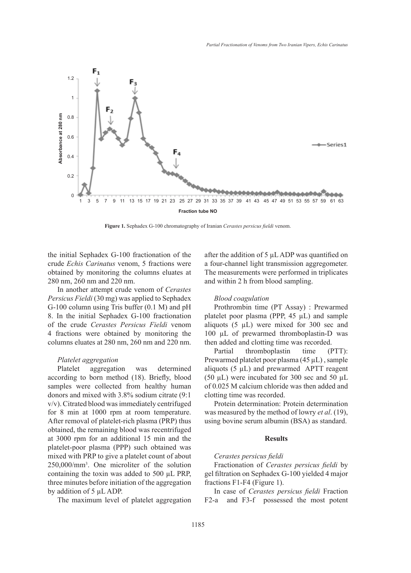

**Figure 1.** Sephadex G-100 chromatography of Iranian *Cerastes persicus fieldi* venom.

the initial Sephadex G-100 fractionation of the crude *Echis Carinatus* venom, 5 fractions were obtained by monitoring the columns eluates at 280 nm, 260 nm and 220 nm.

In another attempt crude venom of *Cerastes Persicus Fieldi* (30 mg) was applied to Sephadex G-100 column using Tris buffer (0.1 M) and pH 8. In the initial Sephadex G-100 fractionation of the crude *Cerastes Persicus Fieldi* venom 4 fractions were obtained by monitoring the columns eluates at 280 nm, 260 nm and 220 nm.

### *Platelet aggregation*

Platelet aggregation was determined according to born method (18). Briefly, blood samples were collected from healthy human donors and mixed with 3.8% sodium citrate (9:1 v/v). Citrated blood was immediately centrifuged for 8 min at 1000 rpm at room temperature. After removal of platelet-rich plasma (PRP) thus obtained, the remaining blood was recentrifuged at 3000 rpm for an additional 15 min and the platelet-poor plasma (PPP) such obtained was mixed with PRP to give a platelet count of about 250,000/mm3 . One microliter of the solution containing the toxin was added to 500 µL PRP, three minutes before initiation of the aggregation by addition of 5 µL ADP.

The maximum level of platelet aggregation

after the addition of 5 µL ADP was quantified on a four-channel light transmission aggregometer. The measurements were performed in triplicates and within 2 h from blood sampling.

#### *Blood coagulation*

Prothrombin time (PT Assay) : Prewarmed platelet poor plasma (PPP, 45 µL) and sample aliquots  $(5 \mu L)$  were mixed for 300 sec and 100 µL of prewarmed thromboplastin-D was then added and clotting time was recorded.

Partial thromboplastin time (PTT): Prewarmed platelet poor plasma (45 µL) , sample aliquots  $(5 \mu L)$  and prewarmed APTT reagent (50  $\mu$ L) were incubated for 300 sec and 50  $\mu$ L of 0.025 M calcium chloride was then added and clotting time was recorded.

Protein determination: Protein determination was measured by the method of lowry *et al*. (19), using bovine serum albumin (BSA) as standard.

#### **Results**

## *Cerastes persicus fieldi*

Fractionation of *Cerastes persicus fieldi* by gel filtration on Sephadex G-100 yielded 4 major fractions F1-F4 (Figure 1).

In case of *Cerastes persicus fieldi* Fraction F2-a and F3-f possessed the most potent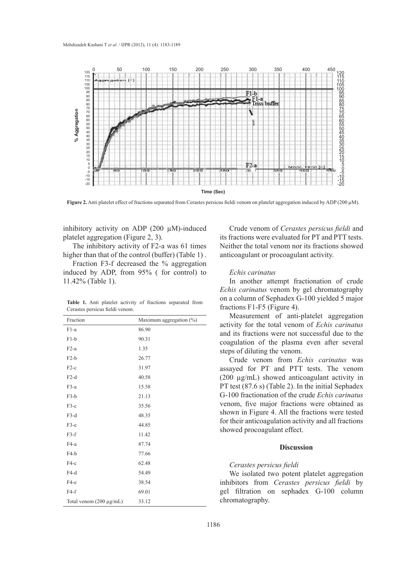

**Figure 2.** Anti platelet effect of fractions separated from Cerastes persicus fieldi venom on platelet aggregation induced by ADP (200 µM).

inhibitory activity on ADP (200 µM)-induced platelet aggregation (Figure 2, 3).

The inhibitory activity of F2-a was 61 times higher than that of the control (buffer) (Table 1).

Fraction F3-f decreased the % aggregation induced by ADP, from 95% ( for control) to 11.42% (Table 1).

|                                 |  |  |  |  |  |  | <b>Table 1.</b> Anti platelet activity of fractions separated from |  |  |  |
|---------------------------------|--|--|--|--|--|--|--------------------------------------------------------------------|--|--|--|
| Cerastes persicus fieldi venom. |  |  |  |  |  |  |                                                                    |  |  |  |

| Fraction                     | Maximum aggregation $(\%)$ |
|------------------------------|----------------------------|
| $F1-a$                       | 86.90                      |
| $F1-b$                       | 90.31                      |
| $F2-a$                       | 1.35                       |
| $F2-b$                       | 26.77                      |
| $F2-c$                       | 31.97                      |
| $F2-d$                       | 40.58                      |
| $F3-a$                       | 15.58                      |
| $F3-b$                       | 21.13                      |
| $F3-c$                       | 35.56                      |
| $F3-d$                       | 48.35                      |
| $F3-e$                       | 44.85                      |
| $F3-f$                       | 11.42                      |
| $F4-a$                       | 87.74                      |
| $F4-b$                       | 77.66                      |
| $F4-c$                       | 62.48                      |
| $F4-d$                       | 54.49                      |
| $F4-e$                       | 38.54                      |
| $F4-f$                       | 69.01                      |
| Total venom $(200 \mu g/mL)$ | 33.12                      |

Crude venom of *Cerastes persicus fieldi* and its fractions were evaluated for PT and PTT tests. Neither the total venom nor its fractions showed anticoagulant or procoagulant activity.

## *Echis carinatus*

In another attempt fractionation of crude *Echis carinatus* venom by gel chromatography on a column of Sephadex G-100 yielded 5 major fractions F1-F5 (Figure 4).

Measurement of anti-platelet aggregation activity for the total venom of *Echis carinatus* and its fractions were not successful due to the coagulation of the plasma even after several steps of diluting the venom.

Crude venom from *Echis carinatus* was assayed for PT and PTT tests. The venom (200 µg/mL) showed anticoagulant activity in PT test (87.6 s) (Table 2). In the initial Sephadex G-100 fractionation of the crude *Echis carinatus* venom, five major fractions were obtained as shown in Figure 4. All the fractions were tested for their anticoagulation activity and all fractions showed procoagulant effect.

# **Discussion**

## *Cerastes persicus fieldi*

We isolated two potent platelet aggregation inhibitors from *Cerastes persicus fieldi* by gel filtration on sephadex G-100 column chromatography.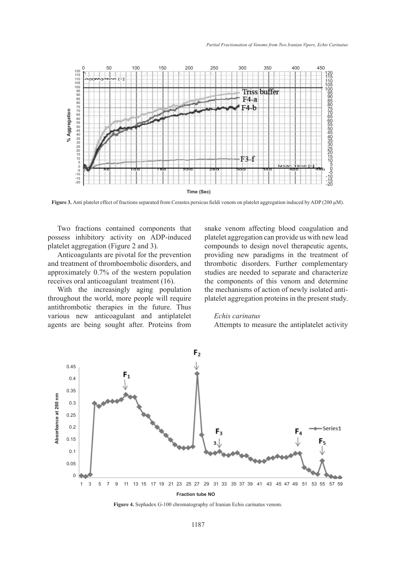

**Figure 3.** Anti platelet effect of fractions separated from Cerastes persicus fieldi venom on platelet aggregation induced by ADP (200 µM).

Two fractions contained components that possess inhibitory activity on ADP-induced platelet aggregation (Figure 2 and 3).

Anticoagulants are pivotal for the prevention and treatment of thromboembolic disorders, and approximately 0.7% of the western population receives oral anticoagulant treatment (16).

With the increasingly aging population throughout the world, more people will require antithrombotic therapies in the future. Thus various new anticoagulant and antiplatelet agents are being sought after. Proteins from snake venom affecting blood coagulation and platelet aggregation can provide us with new lead compounds to design novel therapeutic agents, providing new paradigms in the treatment of thrombotic disorders. Further complementary studies are needed to separate and characterize the components of this venom and determine the mechanisms of action of newly isolated antiplatelet aggregation proteins in the present study.

## *Echis carinatus*

Attempts to measure the antiplatelet activity



**Figure 4.** Sephadex G-100 chromatography of Iranian Echis carinatus venom.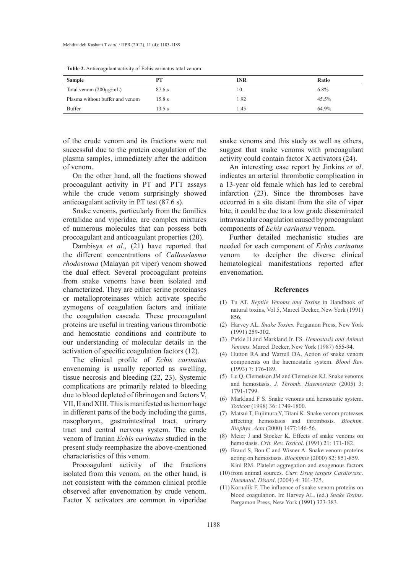| <b>Sample</b>                     | <b>PT</b> | <b>INR</b> | Ratio    |
|-----------------------------------|-----------|------------|----------|
| Total venom $(200\mu\text{g/mL})$ | 87.6 s    | 10         | $6.8\%$  |
| Plasma without buffer and venom   | 15.8 s    | .92        | $45.5\%$ |
| Buffer                            | 13.5 s    | 45.،       | 64.9%    |

**Table 2.** Anticoagulant activity of Echis carinatus total venom.

of the crude venom and its fractions were not successful due to the protein coagulation of the plasma samples, immediately after the addition of venom.

On the other hand, all the fractions showed procoagulant activity in PT and PTT assays while the crude venom surprisingly showed anticoagulant activity in PT test (87.6 s).

Snake venoms, particularly from the families crotalidae and viperidae, are complex mixtures of numerous molecules that can possess both procoagulant and anticoagulant properties (20).

Dambisya *et al*., (21) have reported that the different concentrations of *Calloselasma rhodostoma* (Malayan pit viper) venom showed the dual effect. Several procoagulant proteins from snake venoms have been isolated and characterized. They are either serine proteinases or metalloproteinases which activate specific zymogens of coagulation factors and initiate the coagulation cascade. These procoagulant proteins are useful in treating various thrombotic and hemostatic conditions and contribute to our understanding of molecular details in the activation of specific coagulation factors (12).

The clinical profile of *Echis carinatus* envenoming is usually reported as swelling, tissue necrosis and bleeding (22, 23). Systemic complications are primarily related to bleeding due to blood depleted of fibrinogen and factors V, VII, II and XIII. This is manifested as hemorrhage in different parts of the body including the gums, nasopharynx, gastrointestinal tract, urinary tract and central nervous system. The crude venom of Iranian *Echis carinatus* studied in the present study reemphasize the above-mentioned characteristics of this venom.

Procoagulant activity of the fractions isolated from this venom, on the other hand, is not consistent with the common clinical profile observed after envenomation by crude venom. Factor X activators are common in viperidae

snake venoms and this study as well as others, suggest that snake venoms with procoagulant activity could contain factor X activators (24).

An interesting case report by Jinkins *et al*. indicates an arterial thrombotic complication in a 13-year old female which has led to cerebral infarction (23). Since the thromboses have occurred in a site distant from the site of viper bite, it could be due to a low grade disseminated intravascular coagulation caused by procoagulant components of *Echis carinatus* venom.

Further detailed mechanistic studies are needed for each component of *Echis carinatus* venom to decipher the diverse clinical hematological manifestations reported after envenomation.

#### **References**

- Tu AT. *Reptile Venoms and Toxins* in Handbook of (1) natural toxins, Vol 5, Marcel Decker, New York (1991) 856.
- (2) Harvey AL. *Snake Toxins*. Pergamon Press, New York (1991) 259-302.
- Pirkle H and Markland Jr. FS. *Hemostasis and Animal*  (3) *Venoms.* Marcel Decker, New York (1987) 655-94.
- (4) Hutton RA and Warrell DA. Action of snake venom components on the haemostatic system. *Blood Rev.* (1993) 7: 176-189.
- Lu Q, Clemetson JM and Clemetson KJ. Snake venoms (5) and hemostasis. *J. Thromb. Haemostasis* (2005) 3: 1791-1799.
- Markland F S. Snake venoms and hemostatic system. (6) *Toxicon* (1998) 36: 1749-1800.
- (7) Matsui T, Fujimura Y, Titani K. Snake venom proteases affecting hemostasis and thrombosis. *Biochim. Biophys. Acta* (2000) 1477:146-56.
- Meier J and Stocker K. Effects of snake venoms on (8) hemostasis. *Crit. Rev. Toxicol*. (1991) 21: 171-182.
- (9) Braud S, Bon C and Wisner A. Snake venom proteins acting on hemostasis. *Biochimie* (2000) 82: 851-859. Kini RM. Platelet aggregation and exogenous factors
- (10) from animal sources. *Curr. Drug targets Cardiovasc*. *Haematol. Disord*. (2004) 4: 301-325.
- $(11)$  Kornalik F. The influence of snake venom proteins on blood coagulation. In: Harvey AL. (ed.) *Snake Toxins*. Pergamon Press, New York (1991) 323-383.